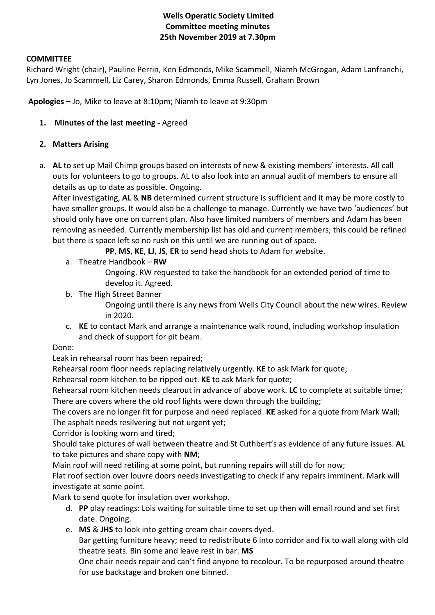## **Wells Operatic Society Limited Committee meeting minutes 25th November 2019 at 7.30pm**

#### **COMMITTEE**

Richard Wright (chair), Pauline Perrin, Ken Edmonds, Mike Scammell, Niamh McGrogan, Adam Lanfranchi, Lyn Jones, Jo Scammell, Liz Carey, Sharon Edmonds, Emma Russell, Graham Brown

**Apologies –** Jo, Mike to leave at 8:10pm; Niamh to leave at 9:30pm

**1. Minutes of the last meeting -** Agreed

#### **2. Matters Arising**

a. **AL** to set up Mail Chimp groups based on interests of new & existing members' interests. All call outs for volunteers to go to groups. AL to also look into an annual audit of members to ensure all details as up to date as possible. Ongoing.

After investigating, **AL** & **NB** determined current structure is sufficient and it may be more costly to have smaller groups. It would also be a challenge to manage. Currently we have two 'audiences' but should only have one on current plan. Also have limited numbers of members and Adam has been removing as needed. Currently membership list has old and current members; this could be refined but there is space left so no rush on this until we are running out of space.

**PP**, **MS**, **KE**, **LJ**, **JS**, **ER** to send head shots to Adam for website.

a. Theatre Handbook – **RW**

Ongoing. RW requested to take the handbook for an extended period of time to develop it. Agreed.

b. The High Street Banner

Ongoing until there is any news from Wells City Council about the new wires. Review in 2020.

c. **KE** to contact Mark and arrange a maintenance walk round, including workshop insulation and check of support for pit beam.

#### Done:

Leak in rehearsal room has been repaired;

Rehearsal room floor needs replacing relatively urgently. **KE** to ask Mark for quote;

Rehearsal room kitchen to be ripped out. **KE** to ask Mark for quote;

Rehearsal room kitchen needs clearout in advance of above work. **LC** to complete at suitable time; There are covers where the old roof lights were down through the building;

The covers are no longer fit for purpose and need replaced. **KE** asked for a quote from Mark Wall; The asphalt needs resilvering but not urgent yet;

Corridor is looking worn and tired;

Should take pictures of wall between theatre and St Cuthbert's as evidence of any future issues. **AL**  to take pictures and share copy with **NM**;

Main roof will need retiling at some point, but running repairs will still do for now;

Flat roof section over louvre doors needs investigating to check if any repairs imminent. Mark will investigate at some point.

Mark to send quote for insulation over workshop.

- d. **PP** play readings: Lois waiting for suitable time to set up then will email round and set first date. Ongoing.
- e. **MS** & **JHS** to look into getting cream chair covers dyed.

Bar getting furniture heavy; need to redistribute 6 into corridor and fix to wall along with old theatre seats. Bin some and leave rest in bar. **MS**

One chair needs repair and can't find anyone to recolour. To be repurposed around theatre for use backstage and broken one binned.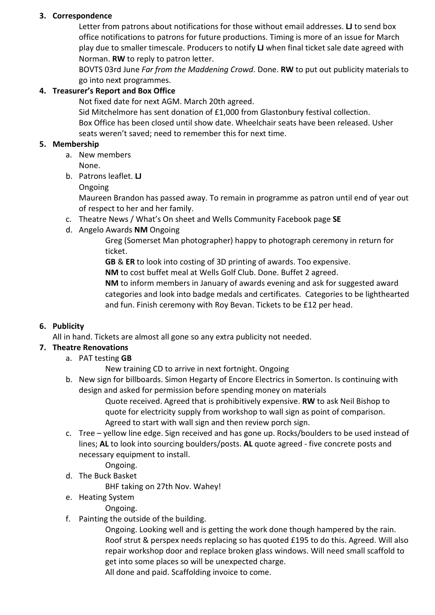#### **3. Correspondence**

Letter from patrons about notifications for those without email addresses. **LJ** to send box office notifications to patrons for future productions. Timing is more of an issue for March play due to smaller timescale. Producers to notify **LJ** when final ticket sale date agreed with Norman. **RW** to reply to patron letter.

BOVTS 03rd June *Far from the Maddening Crowd*. Done. **RW** to put out publicity materials to go into next programmes.

### **4. Treasurer's Report and Box Office**

Not fixed date for next AGM. March 20th agreed.

Sid Mitchelmore has sent donation of £1,000 from Glastonbury festival collection. Box Office has been closed until show date. Wheelchair seats have been released. Usher seats weren't saved; need to remember this for next time.

#### **5. Membership**

- a. New members
	- None.

b. Patrons leaflet. **LJ**

Ongoing

Maureen Brandon has passed away. To remain in programme as patron until end of year out of respect to her and her family.

- c. Theatre News / What's On sheet and Wells Community Facebook page **SE**
- d. Angelo Awards **NM** Ongoing

Greg (Somerset Man photographer) happy to photograph ceremony in return for ticket.

**GB** & **ER** to look into costing of 3D printing of awards. Too expensive.

**NM** to cost buffet meal at Wells Golf Club. Done. Buffet 2 agreed.

**NM** to inform members in January of awards evening and ask for suggested award categories and look into badge medals and certificates. Categories to be lighthearted and fun. Finish ceremony with Roy Bevan. Tickets to be £12 per head.

## **6. Publicity**

All in hand. Tickets are almost all gone so any extra publicity not needed.

## **7. Theatre Renovations**

a. PAT testing **GB**

New training CD to arrive in next fortnight. Ongoing

b. New sign for billboards. Simon Hegarty of Encore Electrics in Somerton. Is continuing with design and asked for permission before spending money on materials

Quote received. Agreed that is prohibitively expensive. **RW** to ask Neil Bishop to quote for electricity supply from workshop to wall sign as point of comparison. Agreed to start with wall sign and then review porch sign.

- c. Tree yellow line edge. Sign received and has gone up. Rocks/boulders to be used instead of lines; **AL** to look into sourcing boulders/posts. **AL** quote agreed - five concrete posts and necessary equipment to install.
	- Ongoing.
- d. The Buck Basket

BHF taking on 27th Nov. Wahey!

e. Heating System

#### Ongoing.

f. Painting the outside of the building.

Ongoing. Looking well and is getting the work done though hampered by the rain. Roof strut & perspex needs replacing so has quoted £195 to do this. Agreed. Will also repair workshop door and replace broken glass windows. Will need small scaffold to get into some places so will be unexpected charge.

All done and paid. Scaffolding invoice to come.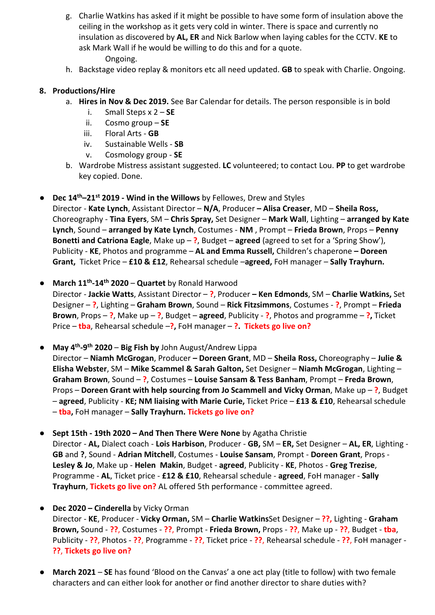- g. Charlie Watkins has asked if it might be possible to have some form of insulation above the ceiling in the workshop as it gets very cold in winter. There is space and currently no insulation as discovered by **AL, ER** and Nick Barlow when laying cables for the CCTV. **KE** to ask Mark Wall if he would be willing to do this and for a quote. Ongoing.
- h. Backstage video replay & monitors etc all need updated. **GB** to speak with Charlie. Ongoing.

#### **8. Productions/Hire**

- a. **Hires in Nov & Dec 2019.** See Bar Calendar for details. The person responsible is in bold
	- i. Small Steps x 2 **SE**
	- ii. Cosmo group **SE**
	- iii. Floral Arts **GB**
	- iv. Sustainable Wells **SB**
	- v. Cosmology group **SE**
- b. Wardrobe Mistress assistant suggested. **LC** volunteered; to contact Lou. **PP** to get wardrobe key copied. Done.
- **Dec 14th–21st 2019 - Wind in the Willows** by Fellowes, Drew and Styles

Director - **Kate Lynch**, Assistant Director – **N/A**, Producer **– Alisa Creaser**, MD – **Sheila Ross,** Choreography - **Tina Eyers**, SM – **Chris Spray,** Set Designer – **Mark Wall**, Lighting – **arranged by Kate Lynch**, Sound – **arranged by Kate Lynch**, Costumes - **NM** , Prompt – **Frieda Brown**, Props – **Penny Bonetti and Catriona Eagle**, Make up – **?**, Budget – **agreed** (agreed to set for a 'Spring Show'), Publicity - **KE**, Photos and programme – **AL and Emma Russell,** Children's chaperone **– Doreen Grant,** Ticket Price – **£10 & £12**, Rehearsal schedule –**agreed,** FoH manager – **Sally Trayhurn.** 

● **March 11th-14th 2020** – **Quartet** by Ronald Harwood

Director - **Jackie Watts**, Assistant Director – **?**, Producer **– Ken Edmonds**, SM – **Charlie Watkins,** Set Designer – **?**, Lighting – **Graham Brown**, Sound – **Rick Fitzsimmons**, Costumes - **?**, Prompt – **Frieda Brown**, Props – **?**, Make up – **?**, Budget – **agreed**, Publicity - **?**, Photos and programme – **?,** Ticket Price – **tba**, Rehearsal schedule –**?,** FoH manager – **?. Tickets go live on?**

● **May 4th-9th 2020** – **Big Fish by** John August/Andrew Lippa

Director – **Niamh McGrogan**, Producer **– Doreen Grant**, MD – **Sheila Ross,** Choreography – **Julie & Elisha Webster**, SM – **Mike Scammel & Sarah Galton,** Set Designer – **Niamh McGrogan**, Lighting – **Graham Brown**, Sound – **?**, Costumes – **Louise Sansam & Tess Banham**, Prompt – **Freda Brown**, Props – **Doreen Grant with help sourcing from Jo Scammell and Vicky Orman**, Make up – **?**, Budget – **agreed**, Publicity - **KE; NM liaising with Marie Curie,** Ticket Price – **£13 & £10**, Rehearsal schedule – **tba,** FoH manager – **Sally Trayhurn. Tickets go live on?**

● **Sept 15th - 19th 2020 – And Then There Were None** by Agatha Christie Director - **AL,** Dialect coach - **Lois Harbison**, Producer - **GB,** SM – **ER,** Set Designer – **AL, ER**, Lighting - **GB** and **?**, Sound - **Adrian Mitchell**, Costumes - **Louise Sansam**, Prompt - **Doreen Grant**, Props - **Lesley & Jo**, Make up - **Helen Makin**, Budget - **agreed**, Publicity - **KE**, Photos - **Greg Trezise**, Programme - **AL**, Ticket price - **£12 & £10**, Rehearsal schedule - **agreed**, FoH manager - **Sally Trayhurn**, **Tickets go live on?** AL offered 5th performance - committee agreed.

#### ● **Dec 2020 – Cinderella** by Vicky Orman

Director - **KE**, Producer - **Vicky Orman,** SM – **Charlie Watkins**Set Designer – **??,** Lighting - **Graham Brown,** Sound - **??**, Costumes - **??**, Prompt - **Frieda Brown,** Props - **??**, Make up - **??**, Budget - **tba**, Publicity - **??**, Photos - **??**, Programme - **??**, Ticket price - **??**, Rehearsal schedule - **??**, FoH manager - **??**, **Tickets go live on?**

**March 2021** – SE has found 'Blood on the Canvas' a one act play (title to follow) with two female characters and can either look for another or find another director to share duties with?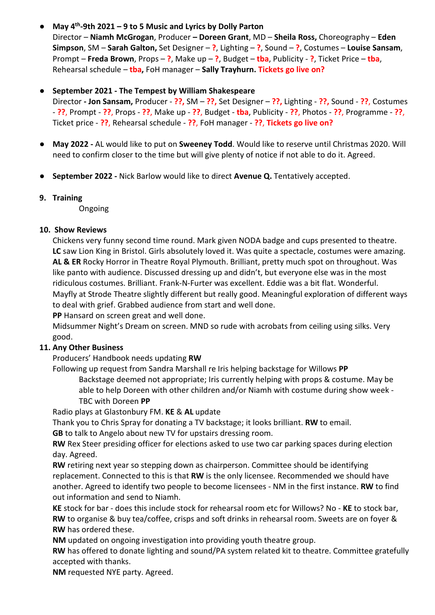## ● **May 4th-9th 2021 – 9 to 5 Music and Lyrics by Dolly Parton**

Director – **Niamh McGrogan**, Producer **– Doreen Grant**, MD – **Sheila Ross,** Choreography – **Eden Simpson**, SM – **Sarah Galton,** Set Designer – **?**, Lighting – **?**, Sound – **?**, Costumes – **Louise Sansam**, Prompt – **Freda Brown**, Props – **?**, Make up – **?**, Budget – **tba**, Publicity - **?**, Ticket Price – **tba**, Rehearsal schedule – **tba,** FoH manager – **Sally Trayhurn. Tickets go live on?**

#### ● **September 2021 - The Tempest by William Shakespeare**

Director **- Jon Sansam,** Producer - **??,** SM – **??,** Set Designer – **??,** Lighting - **??,** Sound - **??**, Costumes - **??**, Prompt - **??**, Props - **??**, Make up - **??**, Budget - **tba**, Publicity - **??**, Photos - **??**, Programme - **??**, Ticket price - **??**, Rehearsal schedule - **??**, FoH manager - **??**, **Tickets go live on?**

- **May 2022 -** AL would like to put on **Sweeney Todd**. Would like to reserve until Christmas 2020. Will need to confirm closer to the time but will give plenty of notice if not able to do it. Agreed.
- **September 2022 -** Nick Barlow would like to direct **Avenue Q.** Tentatively accepted.

### **9. Training**

Ongoing

### **10. Show Reviews**

Chickens very funny second time round. Mark given NODA badge and cups presented to theatre. **LC** saw Lion King in Bristol. Girls absolutely loved it. Was quite a spectacle, costumes were amazing. **AL & ER** Rocky Horror in Theatre Royal Plymouth. Brilliant, pretty much spot on throughout. Was like panto with audience. Discussed dressing up and didn't, but everyone else was in the most ridiculous costumes. Brilliant. Frank-N-Furter was excellent. Eddie was a bit flat. Wonderful. Mayfly at Strode Theatre slightly different but really good. Meaningful exploration of different ways to deal with grief. Grabbed audience from start and well done.

**PP** Hansard on screen great and well done.

Midsummer Night's Dream on screen. MND so rude with acrobats from ceiling using silks. Very good.

## **11. Any Other Business**

Producers' Handbook needs updating **RW**

Following up request from Sandra Marshall re Iris helping backstage for Willows **PP**

Backstage deemed not appropriate; Iris currently helping with props & costume. May be able to help Doreen with other children and/or Niamh with costume during show week - TBC with Doreen **PP**

Radio plays at Glastonbury FM. **KE** & **AL** update

Thank you to Chris Spray for donating a TV backstage; it looks brilliant. **RW** to email.

**GB** to talk to Angelo about new TV for upstairs dressing room.

**RW** Rex Steer presiding officer for elections asked to use two car parking spaces during election day. Agreed.

**RW** retiring next year so stepping down as chairperson. Committee should be identifying replacement. Connected to this is that **RW** is the only licensee. Recommended we should have another. Agreed to identify two people to become licensees - NM in the first instance. **RW** to find out information and send to Niamh.

**KE** stock for bar - does this include stock for rehearsal room etc for Willows? No - **KE** to stock bar, **RW** to organise & buy tea/coffee, crisps and soft drinks in rehearsal room. Sweets are on foyer & **RW** has ordered these.

**NM** updated on ongoing investigation into providing youth theatre group.

**RW** has offered to donate lighting and sound/PA system related kit to theatre. Committee gratefully accepted with thanks.

**NM** requested NYE party. Agreed.